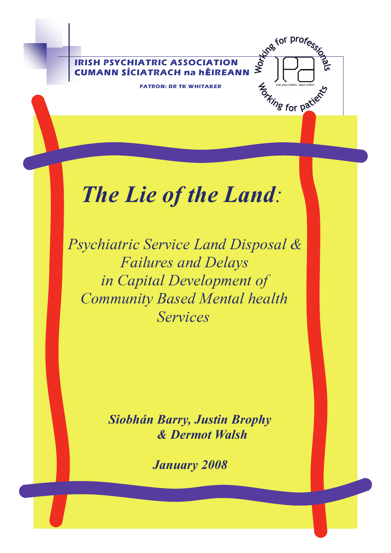**IRISH PSYCHIATRIC ASSOCIATION**  EVALUATE ASSOCIATION COMANN SÍCIATRACH na hÉIREANN **SACHLANN SÍCIATRACH na hÉIREANN** 

**PATRON: DR TK WHITAKER** 

For particular description

# *The Lie of the Land:*

*Psychiatric Service Land Disposal & Failures and Delays in Capital Development of Community Based Mental health Services* 

> *Siobhán Barry, Justin Brophy & Dermot Walsh*

> > *January 2008*

The Lie of the Land:

Dr Siobhán Barry

Blackrock Co Dublin

PRO, Irish Psychiatric Association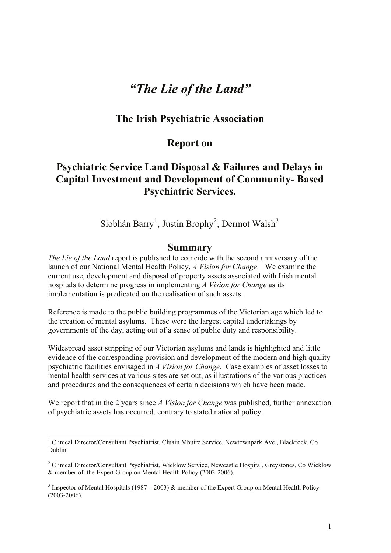# *"The Lie of the Land"*

## **The Irish Psychiatric Association**

#### **Report on**

# **Psychiatric Service Land Disposal & Failures and Delays in Capital Investment and Development of Community- Based Psychiatric Services.**

Siobhán Barry<sup>1</sup>, Justin Brophy<sup>2</sup>, Dermot Walsh<sup>3</sup>

#### **Summary**

*The Lie of the Land* report is published to coincide with the second anniversary of the launch of our National Mental Health Policy, *A Vision for Change*. We examine the current use, development and disposal of property assets associated with Irish mental hospitals to determine progress in implementing *A Vision for Change* as its implementation is predicated on the realisation of such assets.

Reference is made to the public building programmes of the Victorian age which led to the creation of mental asylums. These were the largest capital undertakings by governments of the day, acting out of a sense of public duty and responsibility.

Widespread asset stripping of our Victorian asylums and lands is highlighted and little evidence of the corresponding provision and development of the modern and high quality psychiatric facilities envisaged in *A Vision for Change*. Case examples of asset losses to mental health services at various sites are set out, as illustrations of the various practices and procedures and the consequences of certain decisions which have been made.

We report that in the 2 years since *A Vision for Change* was published, further annexation of psychiatric assets has occurred, contrary to stated national policy.

<sup>&</sup>lt;sup>1</sup> Clinical Director/Consultant Psychiatrist, Cluain Mhuire Service, Newtownpark Ave., Blackrock, Co Dublin.

<sup>&</sup>lt;sup>2</sup> Clinical Director/Consultant Psychiatrist, Wicklow Service, Newcastle Hospital, Greystones, Co Wicklow & member of the Expert Group on Mental Health Policy (2003-2006).

<sup>&</sup>lt;sup>3</sup> Inspector of Mental Hospitals (1987 – 2003) & member of the Expert Group on Mental Health Policy  $(2003 - 2006)$ .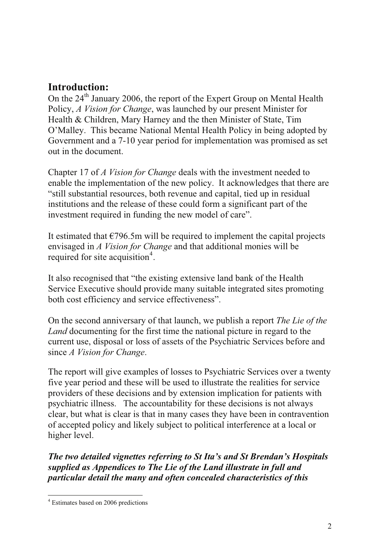# **Introduction:**

On the 24<sup>th</sup> January 2006, the report of the Expert Group on Mental Health Policy, *A Vision for Change*, was launched by our present Minister for Health & Children, Mary Harney and the then Minister of State, Tim O'Malley. This became National Mental Health Policy in being adopted by Government and a 7-10 year period for implementation was promised as set out in the document.

Chapter 17 of *A Vision for Change* deals with the investment needed to enable the implementation of the new policy. It acknowledges that there are "still substantial resources, both revenue and capital, tied up in residual institutions and the release of these could form a significant part of the investment required in funding the new model of care".

It estimated that  $\epsilon$ 796.5m will be required to implement the capital projects envisaged in *A Vision for Change* and that additional monies will be required for site acquisition<sup>4</sup>.

It also recognised that "the existing extensive land bank of the Health Service Executive should provide many suitable integrated sites promoting both cost efficiency and service effectiveness".

On the second anniversary of that launch, we publish a report *The Lie of the Land* documenting for the first time the national picture in regard to the current use, disposal or loss of assets of the Psychiatric Services before and since *A Vision for Change*.

The report will give examples of losses to Psychiatric Services over a twenty five year period and these will be used to illustrate the realities for service providers of these decisions and by extension implication for patients with psychiatric illness. The accountability for these decisions is not always clear, but what is clear is that in many cases they have been in contravention of accepted policy and likely subject to political interference at a local or higher level.

*The two detailed vignettes referring to St Ita's and St Brendan's Hospitals supplied as Appendices to The Lie of the Land illustrate in full and particular detail the many and often concealed characteristics of this* 

<sup>4</sup> Estimates based on 2006 predictions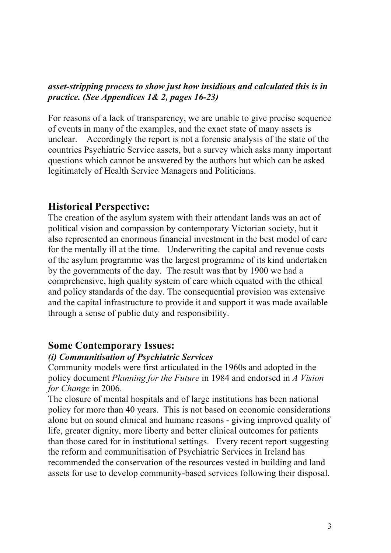## *asset-stripping process to show just how insidious and calculated this is in practice. (See Appendices 1& 2, pages 16-23)*

For reasons of a lack of transparency, we are unable to give precise sequence of events in many of the examples, and the exact state of many assets is unclear. Accordingly the report is not a forensic analysis of the state of the countries Psychiatric Service assets, but a survey which asks many important questions which cannot be answered by the authors but which can be asked legitimately of Health Service Managers and Politicians.

# **Historical Perspective:**

The creation of the asylum system with their attendant lands was an act of political vision and compassion by contemporary Victorian society, but it also represented an enormous financial investment in the best model of care for the mentally ill at the time. Underwriting the capital and revenue costs of the asylum programme was the largest programme of its kind undertaken by the governments of the day. The result was that by 1900 we had a comprehensive, high quality system of care which equated with the ethical and policy standards of the day. The consequential provision was extensive and the capital infrastructure to provide it and support it was made available through a sense of public duty and responsibility.

# **Some Contemporary Issues:**

## *(i) Communitisation of Psychiatric Services*

Community models were first articulated in the 1960s and adopted in the policy document *Planning for the Future* in 1984 and endorsed in *A Vision for Change* in 2006.

The closure of mental hospitals and of large institutions has been national policy for more than 40 years. This is not based on economic considerations alone but on sound clinical and humane reasons - giving improved quality of life, greater dignity, more liberty and better clinical outcomes for patients than those cared for in institutional settings. Every recent report suggesting the reform and communitisation of Psychiatric Services in Ireland has recommended the conservation of the resources vested in building and land assets for use to develop community-based services following their disposal.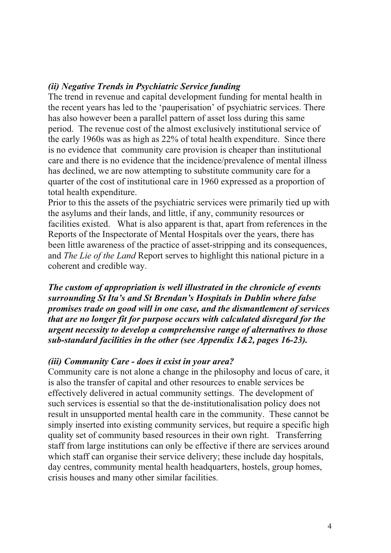## *(ii) Negative Trends in Psychiatric Service funding*

The trend in revenue and capital development funding for mental health in the recent years has led to the 'pauperisation' of psychiatric services. There has also however been a parallel pattern of asset loss during this same period. The revenue cost of the almost exclusively institutional service of the early 1960s was as high as 22% of total health expenditure. Since there is no evidence that community care provision is cheaper than institutional care and there is no evidence that the incidence/prevalence of mental illness has declined, we are now attempting to substitute community care for a quarter of the cost of institutional care in 1960 expressed as a proportion of total health expenditure.

Prior to this the assets of the psychiatric services were primarily tied up with the asylums and their lands, and little, if any, community resources or facilities existed. What is also apparent is that, apart from references in the Reports of the Inspectorate of Mental Hospitals over the years, there has been little awareness of the practice of asset-stripping and its consequences, and *The Lie of the Land* Report serves to highlight this national picture in a coherent and credible way.

*The custom of appropriation is well illustrated in the chronicle of events surrounding St Ita's and St Brendan's Hospitals in Dublin where false promises trade on good will in one case, and the dismantlement of services that are no longer fit for purpose occurs with calculated disregard for the urgent necessity to develop a comprehensive range of alternatives to those sub-standard facilities in the other (see Appendix 1&2, pages 16-23).*

#### *(iii) Community Care - does it exist in your area?*

Community care is not alone a change in the philosophy and locus of care, it is also the transfer of capital and other resources to enable services be effectively delivered in actual community settings. The development of such services is essential so that the de-institutionalisation policy does not result in unsupported mental health care in the community. These cannot be simply inserted into existing community services, but require a specific high quality set of community based resources in their own right. Transferring staff from large institutions can only be effective if there are services around which staff can organise their service delivery; these include day hospitals, day centres, community mental health headquarters, hostels, group homes, crisis houses and many other similar facilities.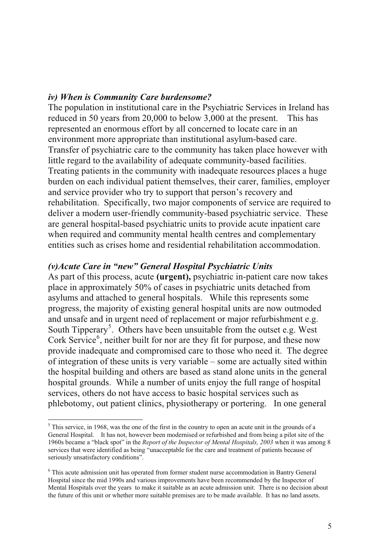#### *iv) When is Community Care burdensome?*

The population in institutional care in the Psychiatric Services in Ireland has reduced in 50 years from 20,000 to below 3,000 at the present. This has represented an enormous effort by all concerned to locate care in an environment more appropriate than institutional asylum-based care. Transfer of psychiatric care to the community has taken place however with little regard to the availability of adequate community-based facilities. Treating patients in the community with inadequate resources places a huge burden on each individual patient themselves, their carer, families, employer and service provider who try to support that person's recovery and rehabilitation. Specifically, two major components of service are required to deliver a modern user-friendly community-based psychiatric service. These are general hospital-based psychiatric units to provide acute inpatient care when required and community mental health centres and complementary entities such as crises home and residential rehabilitation accommodation.

#### *(v)Acute Care in "new" General Hospital Psychiatric Units*

As part of this process, acute **(urgent),** psychiatric in-patient care now takes place in approximately 50% of cases in psychiatric units detached from asylums and attached to general hospitals. While this represents some progress, the majority of existing general hospital units are now outmoded and unsafe and in urgent need of replacement or major refurbishment e.g. South Tipperary<sup>5</sup>. Others have been unsuitable from the outset e.g. West Cork Service<sup>6</sup>, neither built for nor are they fit for purpose, and these now provide inadequate and compromised care to those who need it. The degree of integration of these units is very variable – some are actually sited within the hospital building and others are based as stand alone units in the general hospital grounds. While a number of units enjoy the full range of hospital services, others do not have access to basic hospital services such as phlebotomy, out patient clinics, physiotherapy or portering. In one general

 $<sup>5</sup>$  This service, in 1968, was the one of the first in the country to open an acute unit in the grounds of a</sup> General Hospital. It has not, however been modernised or refurbished and from being a pilot site of the 1960s became a "black spot" in the *Report of the Inspector of Mental Hospitals, 2003* when it was among 8 services that were identified as being "unacceptable for the care and treatment of patients because of seriously unsatisfactory conditions".

<sup>&</sup>lt;sup>6</sup> This acute admission unit has operated from former student nurse accommodation in Bantry General Hospital since the mid 1990s and various improvements have been recommended by the Inspector of Mental Hospitals over the years to make it suitable as an acute admission unit. There is no decision about the future of this unit or whether more suitable premises are to be made available. It has no land assets.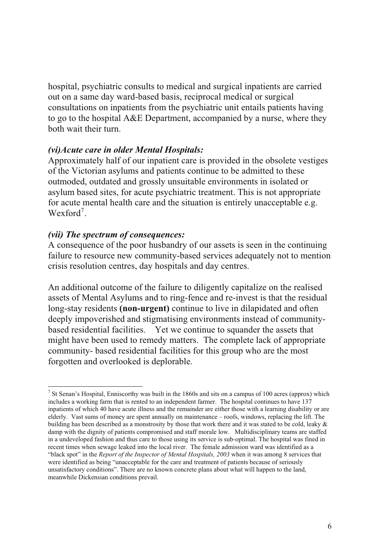hospital, psychiatric consults to medical and surgical inpatients are carried out on a same day ward-based basis, reciprocal medical or surgical consultations on inpatients from the psychiatric unit entails patients having to go to the hospital A&E Department, accompanied by a nurse, where they both wait their turn.

#### *(vi)Acute care in older Mental Hospitals:*

Approximately half of our inpatient care is provided in the obsolete vestiges of the Victorian asylums and patients continue to be admitted to these outmoded, outdated and grossly unsuitable environments in isolated or asylum based sites, for acute psychiatric treatment. This is not appropriate for acute mental health care and the situation is entirely unacceptable e.g. Wexford<sup>7</sup>.

#### *(vii) The spectrum of consequences:*

A consequence of the poor husbandry of our assets is seen in the continuing failure to resource new community-based services adequately not to mention crisis resolution centres, day hospitals and day centres.

An additional outcome of the failure to diligently capitalize on the realised assets of Mental Asylums and to ring-fence and re-invest is that the residual long-stay residents **(non-urgent)** continue to live in dilapidated and often deeply impoverished and stigmatising environments instead of communitybased residential facilities. Yet we continue to squander the assets that might have been used to remedy matters. The complete lack of appropriate community- based residential facilities for this group who are the most forgotten and overlooked is deplorable.

<sup>&</sup>lt;sup>7</sup> St Senan's Hospital, Enniscorthy was built in the 1860s and sits on a campus of 100 acres (approx) which includes a working farm that is rented to an independent farmer. The hospital continues to have 137 inpatients of which 40 have acute illness and the remainder are either those with a learning disability or are elderly. Vast sums of money are spent annually on maintenance – roofs, windows, replacing the lift. The building has been described as a monstrosity by those that work there and it was stated to be cold, leaky & damp with the dignity of patients compromised and staff morale low. Multidisciplinary teams are staffed in a undeveloped fashion and thus care to those using its service is sub-optimal. The hospital was fined in recent times when sewage leaked into the local river. The female admission ward was identified as a "black spot" in the *Report of the Inspector of Mental Hospitals, 2003* when it was among 8 services that were identified as being "unacceptable for the care and treatment of patients because of seriously unsatisfactory conditions". There are no known concrete plans about what will happen to the land, meanwhile Dickensian conditions prevail.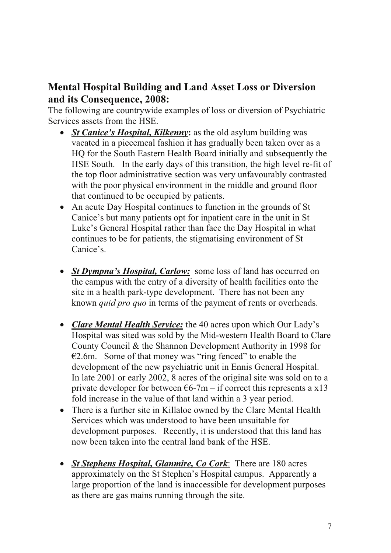# **Mental Hospital Building and Land Asset Loss or Diversion and its Consequence, 2008:**

The following are countrywide examples of loss or diversion of Psychiatric Services assets from the HSE.

- *St Canice's Hospital, Kilkenny*: as the old asylum building was vacated in a piecemeal fashion it has gradually been taken over as a HQ for the South Eastern Health Board initially and subsequently the HSE South. In the early days of this transition, the high level re-fit of the top floor administrative section was very unfavourably contrasted with the poor physical environment in the middle and ground floor that continued to be occupied by patients.
- An acute Day Hospital continues to function in the grounds of St Canice's but many patients opt for inpatient care in the unit in St Luke's General Hospital rather than face the Day Hospital in what continues to be for patients, the stigmatising environment of St Canice's.
- *St Dympna's Hospital, Carlow:* some loss of land has occurred on the campus with the entry of a diversity of health facilities onto the site in a health park-type development. There has not been any known *quid pro quo* in terms of the payment of rents or overheads.
- *Clare Mental Health Service:* the 40 acres upon which Our Lady's Hospital was sited was sold by the Mid-western Health Board to Clare County Council & the Shannon Development Authority in 1998 for  $E2.6m$ . Some of that money was "ring fenced" to enable the development of the new psychiatric unit in Ennis General Hospital. In late 2001 or early 2002, 8 acres of the original site was sold on to a private developer for between  $66-7m - if$  correct this represents a x13 fold increase in the value of that land within a 3 year period.
- There is a further site in Killaloe owned by the Clare Mental Health Services which was understood to have been unsuitable for development purposes. Recently, it is understood that this land has now been taken into the central land bank of the HSE.
- x *St Stephens Hospital, Glanmire, Co Cork*: There are 180 acres approximately on the St Stephen's Hospital campus. Apparently a large proportion of the land is inaccessible for development purposes as there are gas mains running through the site.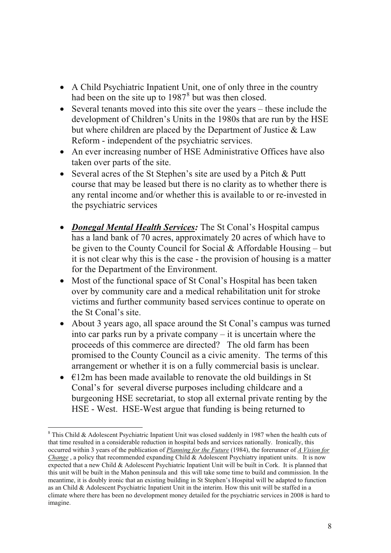- A Child Psychiatric Inpatient Unit, one of only three in the country had been on the site up to  $1987<sup>8</sup>$  but was then closed.
- $\bullet$  Several tenants moved into this site over the years these include the development of Children's Units in the 1980s that are run by the HSE but where children are placed by the Department of Justice & Law Reform - independent of the psychiatric services.
- An ever increasing number of HSE Administrative Offices have also taken over parts of the site.
- Several acres of the St Stephen's site are used by a Pitch  $&$  Putt course that may be leased but there is no clarity as to whether there is any rental income and/or whether this is available to or re-invested in the psychiatric services
- *Donegal Mental Health Services:* The St Conal's Hospital campus has a land bank of 70 acres, approximately 20 acres of which have to be given to the County Council for Social  $&$  Affordable Housing – but it is not clear why this is the case - the provision of housing is a matter for the Department of the Environment.
- Most of the functional space of St Conal's Hospital has been taken over by community care and a medical rehabilitation unit for stroke victims and further community based services continue to operate on the St Conal's site.
- About 3 years ago, all space around the St Conal's campus was turned into car parks run by a private company – it is uncertain where the proceeds of this commerce are directed? The old farm has been promised to the County Council as a civic amenity. The terms of this arrangement or whether it is on a fully commercial basis is unclear.
- $\cdot$   $\in$ 12m has been made available to renovate the old buildings in St Conal's for several diverse purposes including childcare and a burgeoning HSE secretariat, to stop all external private renting by the HSE - West. HSE-West argue that funding is being returned to

<sup>&</sup>lt;sup>8</sup> This Child & Adolescent Psychiatric Inpatient Unit was closed suddenly in 1987 when the health cuts of that time resulted in a considerable reduction in hospital beds and services nationally. Ironically, this occurred within 3 years of the publication of *Planning for the Future* (1984), the forerunner of *A Vision for Change*, a policy that recommended expanding Child & Adolescent Psychiatry inpatient units. It is now expected that a new Child & Adolescent Psychiatric Inpatient Unit will be built in Cork. It is planned that this unit will be built in the Mahon peninsula and this will take some time to build and commission. In the meantime, it is doubly ironic that an existing building in St Stephen's Hospital will be adapted to function as an Child & Adolescent Psychiatric Inpatient Unit in the interim. How this unit will be staffed in a climate where there has been no development money detailed for the psychiatric services in 2008 is hard to imagine.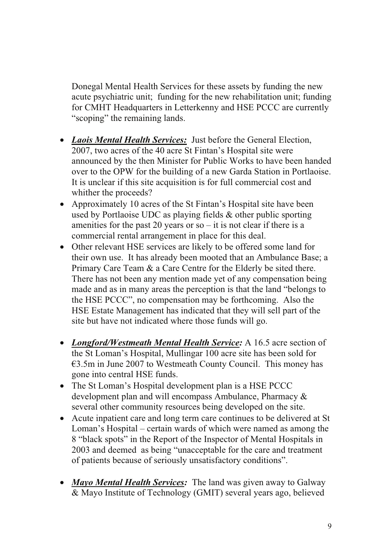Donegal Mental Health Services for these assets by funding the new acute psychiatric unit; funding for the new rehabilitation unit; funding for CMHT Headquarters in Letterkenny and HSE PCCC are currently "scoping" the remaining lands.

- x *Laois Mental Health Services:* Just before the General Election, 2007, two acres of the 40 acre St Fintan's Hospital site were announced by the then Minister for Public Works to have been handed over to the OPW for the building of a new Garda Station in Portlaoise. It is unclear if this site acquisition is for full commercial cost and whither the proceeds?
- Approximately 10 acres of the St Fintan's Hospital site have been used by Portlaoise UDC as playing fields & other public sporting amenities for the past 20 years or so – it is not clear if there is a commercial rental arrangement in place for this deal.
- Other relevant HSE services are likely to be offered some land for their own use. It has already been mooted that an Ambulance Base; a Primary Care Team & a Care Centre for the Elderly be sited there. There has not been any mention made yet of any compensation being made and as in many areas the perception is that the land "belongs to the HSE PCCC", no compensation may be forthcoming. Also the HSE Estate Management has indicated that they will sell part of the site but have not indicated where those funds will go.
- *Longford/Westmeath Mental Health Service:* A 16.5 acre section of the St Loman's Hospital, Mullingar 100 acre site has been sold for €3.5m in June 2007 to Westmeath County Council. This money has gone into central HSE funds.
- The St Loman's Hospital development plan is a HSE PCCC development plan and will encompass Ambulance, Pharmacy & several other community resources being developed on the site.
- Acute inpatient care and long term care continues to be delivered at St Loman's Hospital – certain wards of which were named as among the 8 "black spots" in the Report of the Inspector of Mental Hospitals in 2003 and deemed as being "unacceptable for the care and treatment of patients because of seriously unsatisfactory conditions".
- *Mayo Mental Health Services:* The land was given away to Galway & Mayo Institute of Technology (GMIT) several years ago, believed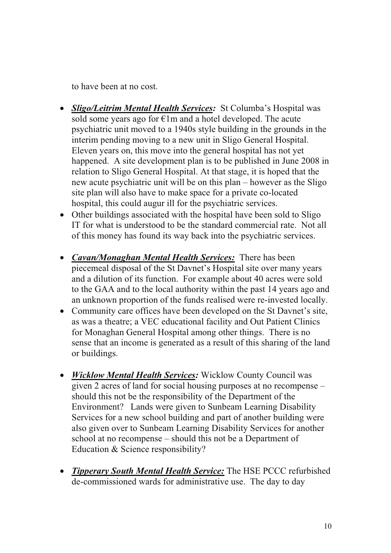to have been at no cost.

- **Sligo/Leitrim Mental Health Services:** St Columba's Hospital was sold some years ago for  $E1m$  and a hotel developed. The acute psychiatric unit moved to a 1940s style building in the grounds in the interim pending moving to a new unit in Sligo General Hospital. Eleven years on, this move into the general hospital has not yet happened. A site development plan is to be published in June 2008 in relation to Sligo General Hospital. At that stage, it is hoped that the new acute psychiatric unit will be on this plan – however as the Sligo site plan will also have to make space for a private co-located hospital, this could augur ill for the psychiatric services.
- Other buildings associated with the hospital have been sold to Sligo IT for what is understood to be the standard commercial rate. Not all of this money has found its way back into the psychiatric services.
- <sup>x</sup> *Cavan/Monaghan Mental Health Services:* There has been piecemeal disposal of the St Davnet's Hospital site over many years and a dilution of its function. For example about 40 acres were sold to the GAA and to the local authority within the past 14 years ago and an unknown proportion of the funds realised were re-invested locally.
- Community care offices have been developed on the St Davnet's site, as was a theatre; a VEC educational facility and Out Patient Clinics for Monaghan General Hospital among other things. There is no sense that an income is generated as a result of this sharing of the land or buildings.
- *Wicklow Mental Health Services:* Wicklow County Council was given 2 acres of land for social housing purposes at no recompense – should this not be the responsibility of the Department of the Environment? Lands were given to Sunbeam Learning Disability Services for a new school building and part of another building were also given over to Sunbeam Learning Disability Services for another school at no recompense – should this not be a Department of Education & Science responsibility?
- <sup>x</sup> *Tipperary South Mental Health Service:* The HSE PCCC refurbished de-commissioned wards for administrative use. The day to day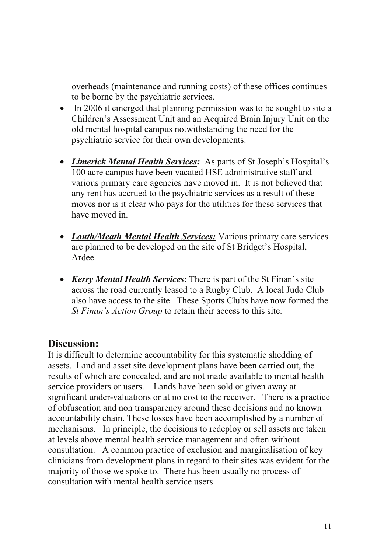overheads (maintenance and running costs) of these offices continues to be borne by the psychiatric services.

- In 2006 it emerged that planning permission was to be sought to site a Children's Assessment Unit and an Acquired Brain Injury Unit on the old mental hospital campus notwithstanding the need for the psychiatric service for their own developments.
- x *Limerick Mental Health Services:* As parts of St Joseph's Hospital's 100 acre campus have been vacated HSE administrative staff and various primary care agencies have moved in. It is not believed that any rent has accrued to the psychiatric services as a result of these moves nor is it clear who pays for the utilities for these services that have moved in.
- *Louth/Meath Mental Health Services:* Various primary care services are planned to be developed on the site of St Bridget's Hospital, Ardee.
- *Kerry Mental Health Services*: There is part of the St Finan's site across the road currently leased to a Rugby Club. A local Judo Club also have access to the site. These Sports Clubs have now formed the *St Finan's Action Group* to retain their access to this site.

# **Discussion:**

It is difficult to determine accountability for this systematic shedding of assets. Land and asset site development plans have been carried out, the results of which are concealed, and are not made available to mental health service providers or users. Lands have been sold or given away at significant under-valuations or at no cost to the receiver. There is a practice of obfuscation and non transparency around these decisions and no known accountability chain. These losses have been accomplished by a number of mechanisms. In principle, the decisions to redeploy or sell assets are taken at levels above mental health service management and often without consultation. A common practice of exclusion and marginalisation of key clinicians from development plans in regard to their sites was evident for the majority of those we spoke to. There has been usually no process of consultation with mental health service users.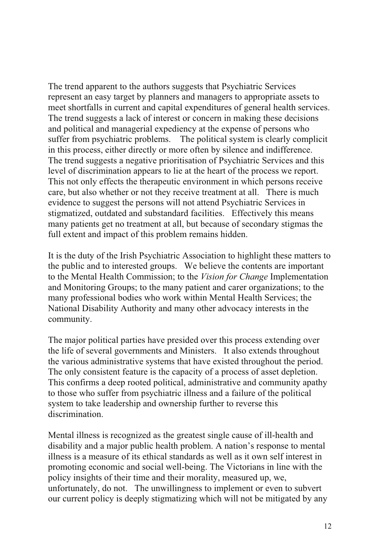The trend apparent to the authors suggests that Psychiatric Services represent an easy target by planners and managers to appropriate assets to meet shortfalls in current and capital expenditures of general health services. The trend suggests a lack of interest or concern in making these decisions and political and managerial expediency at the expense of persons who suffer from psychiatric problems. The political system is clearly complicit in this process, either directly or more often by silence and indifference. The trend suggests a negative prioritisation of Psychiatric Services and this level of discrimination appears to lie at the heart of the process we report. This not only effects the therapeutic environment in which persons receive care, but also whether or not they receive treatment at all. There is much evidence to suggest the persons will not attend Psychiatric Services in stigmatized, outdated and substandard facilities. Effectively this means many patients get no treatment at all, but because of secondary stigmas the full extent and impact of this problem remains hidden.

It is the duty of the Irish Psychiatric Association to highlight these matters to the public and to interested groups. We believe the contents are important to the Mental Health Commission; to the *Vision for Change* Implementation and Monitoring Groups; to the many patient and carer organizations; to the many professional bodies who work within Mental Health Services; the National Disability Authority and many other advocacy interests in the community.

The major political parties have presided over this process extending over the life of several governments and Ministers. It also extends throughout the various administrative systems that have existed throughout the period. The only consistent feature is the capacity of a process of asset depletion. This confirms a deep rooted political, administrative and community apathy to those who suffer from psychiatric illness and a failure of the political system to take leadership and ownership further to reverse this discrimination.

Mental illness is recognized as the greatest single cause of ill-health and disability and a major public health problem. A nation's response to mental illness is a measure of its ethical standards as well as it own self interest in promoting economic and social well-being. The Victorians in line with the policy insights of their time and their morality, measured up, we, unfortunately, do not. The unwillingness to implement or even to subvert our current policy is deeply stigmatizing which will not be mitigated by any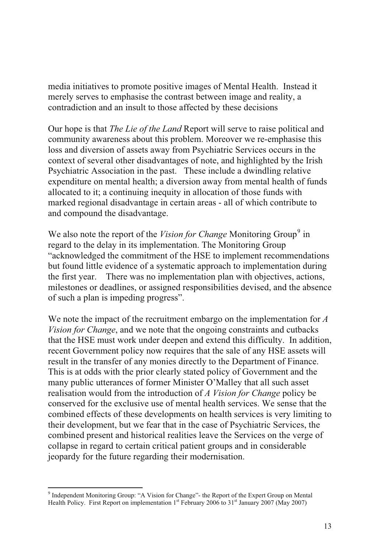media initiatives to promote positive images of Mental Health. Instead it merely serves to emphasise the contrast between image and reality, a contradiction and an insult to those affected by these decisions

Our hope is that *The Lie of the Land* Report will serve to raise political and community awareness about this problem. Moreover we re-emphasise this loss and diversion of assets away from Psychiatric Services occurs in the context of several other disadvantages of note, and highlighted by the Irish Psychiatric Association in the past. These include a dwindling relative expenditure on mental health; a diversion away from mental health of funds allocated to it; a continuing inequity in allocation of those funds with marked regional disadvantage in certain areas - all of which contribute to and compound the disadvantage.

We also note the report of the *Vision for Change* Monitoring Group<sup>9</sup> in regard to the delay in its implementation. The Monitoring Group "acknowledged the commitment of the HSE to implement recommendations but found little evidence of a systematic approach to implementation during the first year. There was no implementation plan with objectives, actions, milestones or deadlines, or assigned responsibilities devised, and the absence of such a plan is impeding progress".

We note the impact of the recruitment embargo on the implementation for *A Vision for Change*, and we note that the ongoing constraints and cutbacks that the HSE must work under deepen and extend this difficulty. In addition, recent Government policy now requires that the sale of any HSE assets will result in the transfer of any monies directly to the Department of Finance. This is at odds with the prior clearly stated policy of Government and the many public utterances of former Minister O'Malley that all such asset realisation would from the introduction of *A Vision for Change* policy be conserved for the exclusive use of mental health services. We sense that the combined effects of these developments on health services is very limiting to their development, but we fear that in the case of Psychiatric Services, the combined present and historical realities leave the Services on the verge of collapse in regard to certain critical patient groups and in considerable jeopardy for the future regarding their modernisation.

<sup>&</sup>lt;sup>9</sup> Independent Monitoring Group: "A Vision for Change"- the Report of the Expert Group on Mental Health Policy. First Report on implementation 1<sup>st</sup> February 2006 to 31<sup>st</sup> January 2007 (May 2007)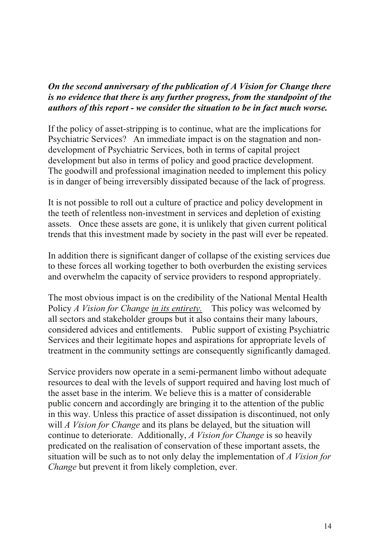# *On the second anniversary of the publication of A Vision for Change there is no evidence that there is any further progress, from the standpoint of the authors of this report - we consider the situation to be in fact much worse.*

If the policy of asset-stripping is to continue, what are the implications for Psychiatric Services? An immediate impact is on the stagnation and nondevelopment of Psychiatric Services, both in terms of capital project development but also in terms of policy and good practice development. The goodwill and professional imagination needed to implement this policy is in danger of being irreversibly dissipated because of the lack of progress.

It is not possible to roll out a culture of practice and policy development in the teeth of relentless non-investment in services and depletion of existing assets. Once these assets are gone, it is unlikely that given current political trends that this investment made by society in the past will ever be repeated.

In addition there is significant danger of collapse of the existing services due to these forces all working together to both overburden the existing services and overwhelm the capacity of service providers to respond appropriately.

The most obvious impact is on the credibility of the National Mental Health Policy *A Vision for Change in its entirety.* This policy was welcomed by all sectors and stakeholder groups but it also contains their many labours, considered advices and entitlements. Public support of existing Psychiatric Services and their legitimate hopes and aspirations for appropriate levels of treatment in the community settings are consequently significantly damaged.

Service providers now operate in a semi-permanent limbo without adequate resources to deal with the levels of support required and having lost much of the asset base in the interim. We believe this is a matter of considerable public concern and accordingly are bringing it to the attention of the public in this way. Unless this practice of asset dissipation is discontinued, not only will *A Vision for Change* and its plans be delayed, but the situation will continue to deteriorate. Additionally, *A Vision for Change* is so heavily predicated on the realisation of conservation of these important assets, the situation will be such as to not only delay the implementation of *A Vision for Change* but prevent it from likely completion, ever.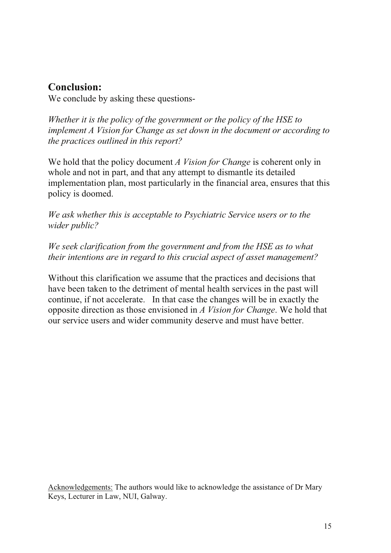# **Conclusion:**

We conclude by asking these questions-

*Whether it is the policy of the government or the policy of the HSE to implement A Vision for Change as set down in the document or according to the practices outlined in this report?*

We hold that the policy document *A Vision for Change* is coherent only in whole and not in part, and that any attempt to dismantle its detailed implementation plan, most particularly in the financial area, ensures that this policy is doomed.

*We ask whether this is acceptable to Psychiatric Service users or to the wider public?*

*We seek clarification from the government and from the HSE as to what their intentions are in regard to this crucial aspect of asset management?*

Without this clarification we assume that the practices and decisions that have been taken to the detriment of mental health services in the past will continue, if not accelerate. In that case the changes will be in exactly the opposite direction as those envisioned in *A Vision for Change*. We hold that our service users and wider community deserve and must have better.

Acknowledgements: The authors would like to acknowledge the assistance of Dr Mary Keys, Lecturer in Law, NUI, Galway.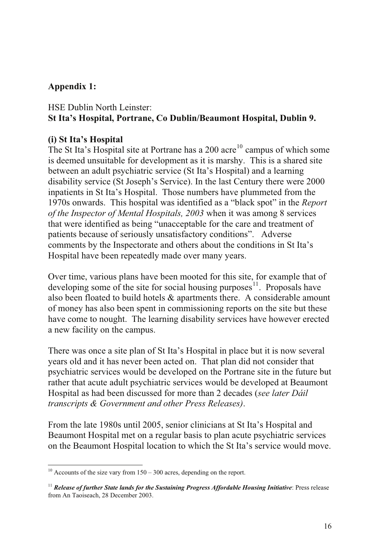## **Appendix 1:**

# HSE Dublin North Leinster: **St Ita's Hospital, Portrane, Co Dublin/Beaumont Hospital, Dublin 9.**

## **(i) St Ita's Hospital**

The St Ita's Hospital site at Portrane has a  $200$  acre<sup>10</sup> campus of which some is deemed unsuitable for development as it is marshy. This is a shared site between an adult psychiatric service (St Ita's Hospital) and a learning disability service (St Joseph's Service). In the last Century there were 2000 inpatients in St Ita's Hospital. Those numbers have plummeted from the 1970s onwards. This hospital was identified as a "black spot" in the *Report of the Inspector of Mental Hospitals, 2003* when it was among 8 services that were identified as being "unacceptable for the care and treatment of patients because of seriously unsatisfactory conditions". Adverse comments by the Inspectorate and others about the conditions in St Ita's Hospital have been repeatedly made over many years.

Over time, various plans have been mooted for this site, for example that of developing some of the site for social housing purposes $11$ . Proposals have also been floated to build hotels & apartments there. A considerable amount of money has also been spent in commissioning reports on the site but these have come to nought. The learning disability services have however erected a new facility on the campus.

There was once a site plan of St Ita's Hospital in place but it is now several years old and it has never been acted on. That plan did not consider that psychiatric services would be developed on the Portrane site in the future but rather that acute adult psychiatric services would be developed at Beaumont Hospital as had been discussed for more than 2 decades (*see later Dáil transcripts & Government and other Press Releases)*.

From the late 1980s until 2005, senior clinicians at St Ita's Hospital and Beaumont Hospital met on a regular basis to plan acute psychiatric services on the Beaumont Hospital location to which the St Ita's service would move.

<sup>&</sup>lt;sup>10</sup> Accounts of the size vary from  $150 - 300$  acres, depending on the report.

<sup>&</sup>lt;sup>11</sup> *Release of further State lands for the Sustaining Progress Affordable Housing Initiative*: Press release from An Taoiseach, 28 December 2003.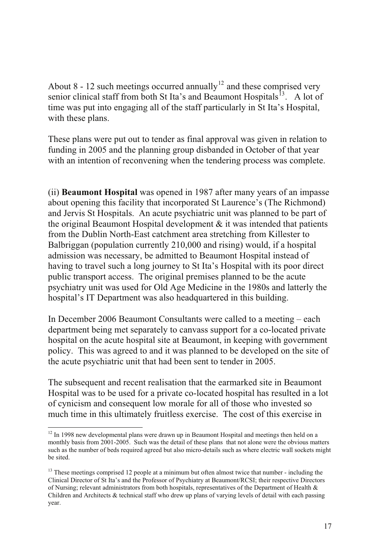About 8 - 12 such meetings occurred annually<sup>12</sup> and these comprised very senior clinical staff from both St Ita's and Beaumont Hospitals<sup>13</sup>. A lot of time was put into engaging all of the staff particularly in St Ita's Hospital, with these plans.

These plans were put out to tender as final approval was given in relation to funding in 2005 and the planning group disbanded in October of that year with an intention of reconvening when the tendering process was complete.

(ii) **Beaumont Hospital** was opened in 1987 after many years of an impasse about opening this facility that incorporated St Laurence's (The Richmond) and Jervis St Hospitals. An acute psychiatric unit was planned to be part of the original Beaumont Hospital development  $\&$  it was intended that patients from the Dublin North-East catchment area stretching from Killester to Balbriggan (population currently 210,000 and rising) would, if a hospital admission was necessary, be admitted to Beaumont Hospital instead of having to travel such a long journey to St Ita's Hospital with its poor direct public transport access. The original premises planned to be the acute psychiatry unit was used for Old Age Medicine in the 1980s and latterly the hospital's IT Department was also headquartered in this building.

In December 2006 Beaumont Consultants were called to a meeting – each department being met separately to canvass support for a co-located private hospital on the acute hospital site at Beaumont, in keeping with government policy. This was agreed to and it was planned to be developed on the site of the acute psychiatric unit that had been sent to tender in 2005.

The subsequent and recent realisation that the earmarked site in Beaumont Hospital was to be used for a private co-located hospital has resulted in a lot of cynicism and consequent low morale for all of those who invested so much time in this ultimately fruitless exercise. The cost of this exercise in

<sup>&</sup>lt;sup>12</sup> In 1998 new developmental plans were drawn up in Beaumont Hospital and meetings then held on a monthly basis from 2001-2005. Such was the detail of these plans that not alone were the obvious matters such as the number of beds required agreed but also micro-details such as where electric wall sockets might be sited.

<sup>&</sup>lt;sup>13</sup> These meetings comprised 12 people at a minimum but often almost twice that number - including the Clinical Director of St Ita's and the Professor of Psychiatry at Beaumont/RCSI; their respective Directors of Nursing; relevant administrators from both hospitals, representatives of the Department of Health & Children and Architects & technical staff who drew up plans of varying levels of detail with each passing year.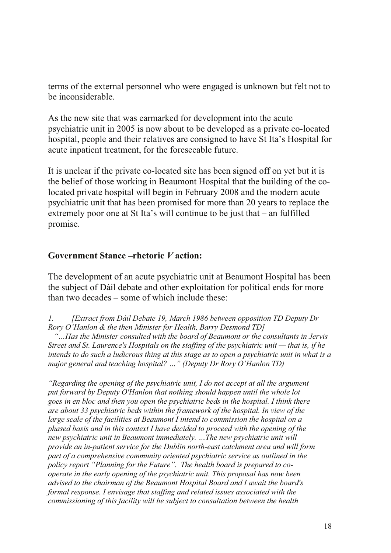terms of the external personnel who were engaged is unknown but felt not to be inconsiderable.

As the new site that was earmarked for development into the acute psychiatric unit in 2005 is now about to be developed as a private co-located hospital, people and their relatives are consigned to have St Ita's Hospital for acute inpatient treatment, for the foreseeable future.

It is unclear if the private co-located site has been signed off on yet but it is the belief of those working in Beaumont Hospital that the building of the colocated private hospital will begin in February 2008 and the modern acute psychiatric unit that has been promised for more than 20 years to replace the extremely poor one at St Ita's will continue to be just that – an fulfilled promise.

## **Government Stance –rhetoric** *V* **action:**

The development of an acute psychiatric unit at Beaumont Hospital has been the subject of Dáil debate and other exploitation for political ends for more than two decades – some of which include these:

*1. [Extract from Dáil Debate 19, March 1986 between opposition TD Deputy Dr Rory O'Hanlon & the then Minister for Health, Barry Desmond TD]*

*"…Has the Minister consulted with the board of Beaumont or the consultants in Jervis Street and St. Laurence's Hospitals on the staffing of the psychiatric unit — that is, if he intends to do such a ludicrous thing at this stage as to open a psychiatric unit in what is a major general and teaching hospital? …" (Deputy Dr Rory O'Hanlon TD)*

*"Regarding the opening of the psychiatric unit, I do not accept at all the argument put forward by Deputy O'Hanlon that nothing should happen until the whole lot goes in en bloc and then you open the psychiatric beds in the hospital. I think there are about 33 psychiatric beds within the framework of the hospital. In view of the large scale of the facilities at Beaumont I intend to commission the hospital on a phased basis and in this context I have decided to proceed with the opening of the new psychiatric unit in Beaumont immediately. …The new psychiatric unit will provide an in-patient service for the Dublin north-east catchment area and will form part of a comprehensive community oriented psychiatric service as outlined in the policy report "Planning for the Future". The health board is prepared to cooperate in the early opening of the psychiatric unit. This proposal has now been advised to the chairman of the Beaumont Hospital Board and I await the board's formal response. I envisage that staffing and related issues associated with the commissioning of this facility will be subject to consultation between the health*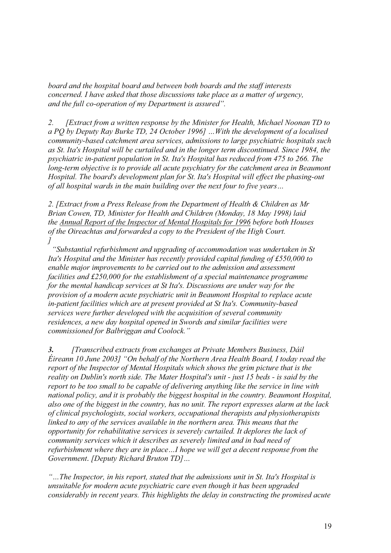*board and the hospital board and between both boards and the staff interests concerned. I have asked that those discussions take place as a matter of urgency, and the full co-operation of my Department is assured".*

*2. [Extract from a written response by the Minister for Health, Michael Noonan TD to a PQ by Deputy Ray Burke TD, 24 October 1996] …With the development of a localised community-based catchment area services, admissions to large psychiatric hospitals such as St. Ita's Hospital will be curtailed and in the longer term discontinued. Since 1984, the psychiatric in-patient population in St. Ita's Hospital has reduced from 475 to 266. The long-term objective is to provide all acute psychiatry for the catchment area in Beaumont Hospital. The board's development plan for St. Ita's Hospital will effect the phasing-out of all hospital wards in the main building over the next four to five years…* 

*2. [Extract from a Press Release from the Department of Health & Children as Mr Brian Cowen, TD, Minister for Health and Children (Monday, 18 May 1998) laid the Annual Report of the Inspector of Mental Hospitals for 1996 before both Houses of the Oireachtas and forwarded a copy to the President of the High Court. ]*

 *"Substantial refurbishment and upgrading of accommodation was undertaken in St Ita's Hospital and the Minister has recently provided capital funding of £550,000 to enable major improvements to be carried out to the admission and assessment facilities and £250,000 for the establishment of a special maintenance programme for the mental handicap services at St Ita's. Discussions are under way for the provision of a modern acute psychiatric unit in Beaumont Hospital to replace acute in-patient facilities which are at present provided at St Ita's. Community-based services were further developed with the acquisition of several community residences, a new day hospital opened in Swords and similar facilities were commissioned for Balbriggan and Coolock."*

*3. [Transcribed extracts from exchanges at Private Members Business, Dáil Éireann 10 June 2003] "On behalf of the Northern Area Health Board, I today read the report of the Inspector of Mental Hospitals which shows the grim picture that is the reality on Dublin's north side. The Mater Hospital's unit - just 15 beds - is said by the report to be too small to be capable of delivering anything like the service in line with national policy, and it is probably the biggest hospital in the country. Beaumont Hospital, also one of the biggest in the country, has no unit. The report expresses alarm at the lack of clinical psychologists, social workers, occupational therapists and physiotherapists linked to any of the services available in the northern area. This means that the opportunity for rehabilitative services is severely curtailed. It deplores the lack of community services which it describes as severely limited and in bad need of refurbishment where they are in place…I hope we will get a decent response from the Government. [Deputy Richard Bruton TD]…*

*"…The Inspector, in his report, stated that the admissions unit in St. Ita's Hospital is unsuitable for modern acute psychiatric care even though it has been upgraded considerably in recent years. This highlights the delay in constructing the promised acute*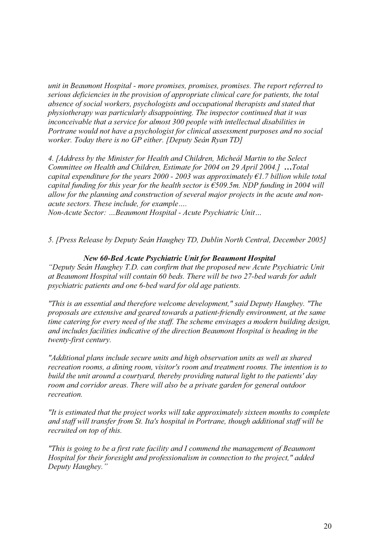*unit in Beaumont Hospital - more promises, promises, promises. The report referred to serious deficiencies in the provision of appropriate clinical care for patients, the total absence of social workers, psychologists and occupational therapists and stated that physiotherapy was particularly disappointing. The inspector continued that it was inconceivable that a service for almost 300 people with intellectual disabilities in Portrane would not have a psychologist for clinical assessment purposes and no social worker. Today there is no GP either. [Deputy Seán Ryan TD]*

*4. [Address by the Minister for Health and Children, Micheál Martin to the Select Committee on Health and Children, Estimate for 2004 on 29 April 2004.] …Total capital expenditure for the years 2000 - 2003 was approximately €1.7 billion while total capital funding for this year for the health sector is €509.5m. NDP funding in 2004 will allow for the planning and construction of several major projects in the acute and nonacute sectors. These include, for example….* 

*Non-Acute Sector: …Beaumont Hospital - Acute Psychiatric Unit…*

*5. [Press Release by Deputy Seán Haughey TD, Dublin North Central, December 2005]*

#### *New 60-Bed Acute Psychiatric Unit for Beaumont Hospital*

*"Deputy Seán Haughey T.D. can confirm that the proposed new Acute Psychiatric Unit at Beaumont Hospital will contain 60 beds. There will be two 27-bed wards for adult psychiatric patients and one 6-bed ward for old age patients.*

*"This is an essential and therefore welcome development," said Deputy Haughey. "The proposals are extensive and geared towards a patient-friendly environment, at the same time catering for every need of the staff. The scheme envisages a modern building design, and includes facilities indicative of the direction Beaumont Hospital is heading in the twenty-first century.* 

*"Additional plans include secure units and high observation units as well as shared recreation rooms, a dining room, visitor's room and treatment rooms. The intention is to build the unit around a courtyard, thereby providing natural light to the patients' day room and corridor areas. There will also be a private garden for general outdoor recreation.* 

*"It is estimated that the project works will take approximately sixteen months to complete and staff will transfer from St. Ita's hospital in Portrane, though additional staff will be recruited on top of this.*

*"This is going to be a first rate facility and I commend the management of Beaumont Hospital for their foresight and professionalism in connection to the project," added Deputy Haughey."*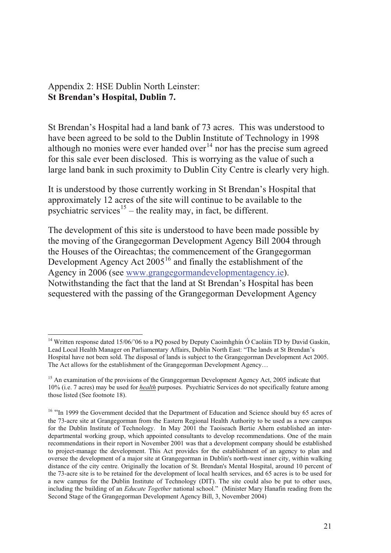Appendix 2: HSE Dublin North Leinster: **St Brendan's Hospital, Dublin 7.** 

St Brendan's Hospital had a land bank of 73 acres. This was understood to have been agreed to be sold to the Dublin Institute of Technology in 1998 although no monies were ever handed over  $14$  nor has the precise sum agreed for this sale ever been disclosed. This is worrying as the value of such a large land bank in such proximity to Dublin City Centre is clearly very high.

It is understood by those currently working in St Brendan's Hospital that approximately 12 acres of the site will continue to be available to the psychiatric services<sup>15</sup> – the reality may, in fact, be different.

The development of this site is understood to have been made possible by the moving of the Grangegorman Development Agency Bill 2004 through the Houses of the Oireachtas; the commencement of the Grangegorman Development Agency Act  $2005^{16}$  and finally the establishment of the Agency in 2006 (see www.grangegormandevelopmentagency.ie). Notwithstanding the fact that the land at St Brendan's Hospital has been sequestered with the passing of the Grangegorman Development Agency

<sup>&</sup>lt;sup>14</sup> Written response dated 15/06/'06 to a PO posed by Deputy Caoimhghin  $\acute{o}$  Caoláin TD by David Gaskin, Lead Local Health Manager on Parliamentary Affairs, Dublin North East: "The lands at St Brendan's Hospital have not been sold. The disposal of lands is subject to the Grangegorman Development Act 2005. The Act allows for the establishment of the Grangegorman Development Agency…

<sup>&</sup>lt;sup>15</sup> An examination of the provisions of the Grangegorman Development Agency Act, 2005 indicate that 10% (i.e. 7 acres) may be used for *health* purposes. Psychiatric Services do not specifically feature among those listed (See footnote 18).

<sup>&</sup>lt;sup>16</sup> "In 1999 the Government decided that the Department of Education and Science should buy 65 acres of the 73-acre site at Grangegorman from the Eastern Regional Health Authority to be used as a new campus for the Dublin Institute of Technology. In May 2001 the Taoiseach Bertie Ahern established an interdepartmental working group, which appointed consultants to develop recommendations. One of the main recommendations in their report in November 2001 was that a development company should be established to project-manage the development. This Act provides for the establishment of an agency to plan and oversee the development of a major site at Grangegorman in Dublin's north-west inner city, within walking distance of the city centre. Originally the location of St. Brendan's Mental Hospital, around 10 percent of the 73-acre site is to be retained for the development of local health services, and 65 acres is to be used for a new campus for the Dublin Institute of Technology (DIT). The site could also be put to other uses, including the building of an *Educate Together* national school." (Minister Mary Hanafin reading from the Second Stage of the Grangegorman Development Agency Bill, 3, November 2004)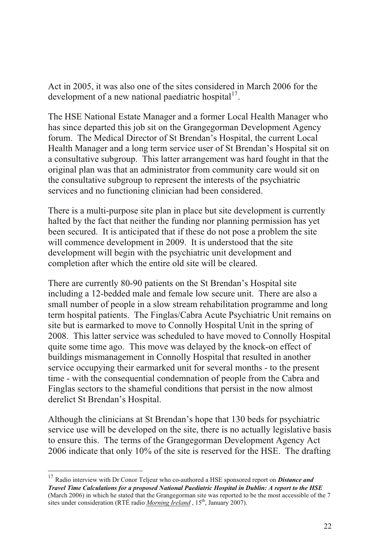Act in 2005, it was also one of the sites considered in March 2006 for the development of a new national paediatric hospital<sup>17</sup>.

The HSE National Estate Manager and a former Local Health Manager who has since departed this job sit on the Grangegorman Development Agency forum. The Medical Director of St Brendan's Hospital, the current Local Health Manager and a long term service user of St Brendan's Hospital sit on a consultative subgroup. This latter arrangement was hard fought in that the original plan was that an administrator from community care would sit on the consultative subgroup to represent the interests of the psychiatric services and no functioning clinician had been considered.

There is a multi-purpose site plan in place but site development is currently halted by the fact that neither the funding nor planning permission has yet been secured. It is anticipated that if these do not pose a problem the site will commence development in 2009. It is understood that the site development will begin with the psychiatric unit development and completion after which the entire old site will be cleared.

There are currently 80-90 patients on the St Brendan's Hospital site including a 12-bedded male and female low secure unit. There are also a small number of people in a slow stream rehabilitation programme and long term hospital patients. The Finglas/Cabra Acute Psychiatric Unit remains on site but is earmarked to move to Connolly Hospital Unit in the spring of 2008. This latter service was scheduled to have moved to Connolly Hospital quite some time ago. This move was delayed by the knock-on effect of buildings mismanagement in Connolly Hospital that resulted in another service occupying their earmarked unit for several months - to the present time - with the consequential condemnation of people from the Cabra and Finglas sectors to the shameful conditions that persist in the now almost derelict St Brendan's Hospital.

Although the clinicians at St Brendan's hope that 130 beds for psychiatric service use will be developed on the site, there is no actually legislative basis to ensure this. The terms of the Grangegorman Development Agency Act 2006 indicate that only 10% of the site is reserved for the HSE. The drafting

<sup>17</sup> Radio interview with Dr Conor Teljeur who co-authored a HSE sponsored report on *Distance and Travel Time Calculations for a proposed National Paediatric Hospital in Dublin: A report to the HSE*  (March 2006) in which he stated that the Grangegorman site was reported to be the most accessible of the 7 sites under consideration (RTÉ radio *Morning Ireland*, 15<sup>th</sup>, January 2007).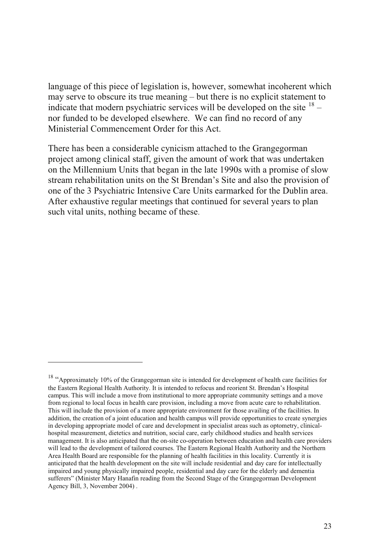language of this piece of legislation is, however, somewhat incoherent which may serve to obscure its true meaning – but there is no explicit statement to indicate that modern psychiatric services will be developed on the site  $18$ nor funded to be developed elsewhere. We can find no record of any Ministerial Commencement Order for this Act.

There has been a considerable cynicism attached to the Grangegorman project among clinical staff, given the amount of work that was undertaken on the Millennium Units that began in the late 1990s with a promise of slow stream rehabilitation units on the St Brendan's Site and also the provision of one of the 3 Psychiatric Intensive Care Units earmarked for the Dublin area. After exhaustive regular meetings that continued for several years to plan such vital units, nothing became of these.

<sup>&</sup>lt;sup>18</sup> "Approximately 10% of the Grangegorman site is intended for development of health care facilities for the Eastern Regional Health Authority. It is intended to refocus and reorient St. Brendan's Hospital campus. This will include a move from institutional to more appropriate community settings and a move from regional to local focus in health care provision, including a move from acute care to rehabilitation. This will include the provision of a more appropriate environment for those availing of the facilities. In addition, the creation of a joint education and health campus will provide opportunities to create synergies in developing appropriate model of care and development in specialist areas such as optometry, clinicalhospital measurement, dietetics and nutrition, social care, early childhood studies and health services management. It is also anticipated that the on-site co-operation between education and health care providers will lead to the development of tailored courses. The Eastern Regional Health Authority and the Northern Area Health Board are responsible for the planning of health facilities in this locality. Currently it is anticipated that the health development on the site will include residential and day care for intellectually impaired and young physically impaired people, residential and day care for the elderly and dementia sufferers" (Minister Mary Hanafin reading from the Second Stage of the Grangegorman Development Agency Bill, 3, November 2004) .